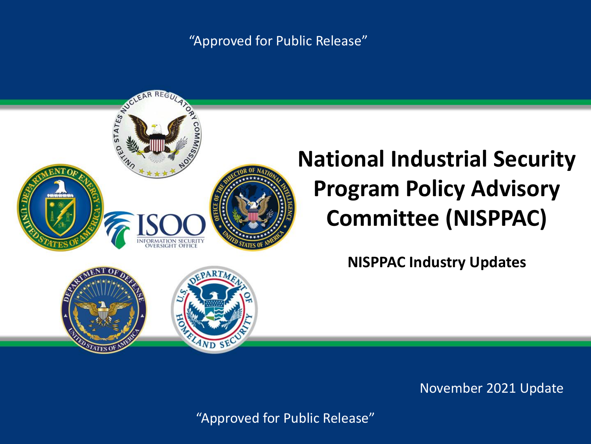#### "Approved for Public Release"



# **National Industrial Security Program Policy Advisory Committee (NISPPAC)**

**NISPPAC Industry Updates**

November 2021 Update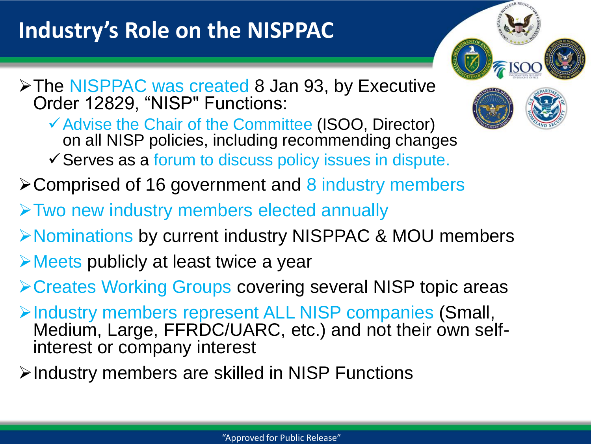# **Industry's Role on the NISPPAC**



✓Advise the Chair of the Committee (ISOO, Director) on all NISP policies, including recommending changes ✓Serves as a forum to discuss policy issues in dispute.

➢Comprised of 16 government and 8 industry members

- ➢Two new industry members elected annually
- ➢Nominations by current industry NISPPAC & MOU members
- ➢Meets publicly at least twice a year
- ➢Creates Working Groups covering several NISP topic areas
- ➢Industry members represent ALL NISP companies (Small, Medium, Large, FFRDC/UARC, etc.) and not their own selfinterest or company interest
- ➢Industry members are skilled in NISP Functions

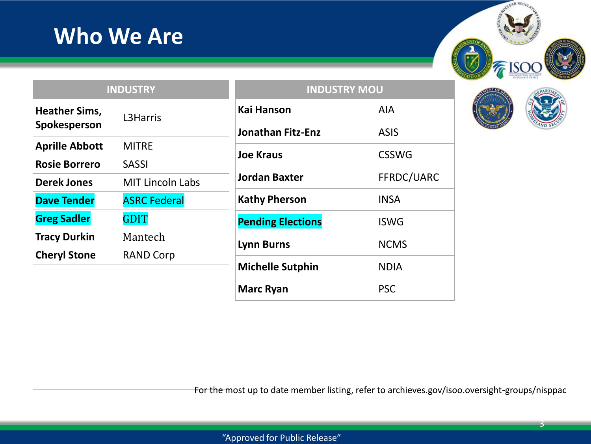## **Who We Are**

| SAUCLEAN REGUL<br>್ಯ<br>٥<br>NAISSIMM<br>६ |  |
|--------------------------------------------|--|
| $\sqrt{2}$ ISC<br>INFORMATION MCURITY      |  |

|                       | <b>INDUSTRY</b>         |                  |
|-----------------------|-------------------------|------------------|
| <b>Heather Sims,</b>  | L3Harris                | <b>Kai Hanso</b> |
| Spokesperson          |                         | Jonathan         |
| <b>Aprille Abbott</b> | <b>MITRE</b>            | <b>Joe Kraus</b> |
| <b>Rosie Borrero</b>  | <b>SASSI</b>            |                  |
| <b>Derek Jones</b>    | <b>MIT Lincoln Labs</b> | Jordan Ba        |
| <b>Dave Tender</b>    | <b>ASRC Federal</b>     | <b>Kathy Phe</b> |
| <b>Greg Sadler</b>    | <b>GDIT</b>             | <b>Pending E</b> |
| <b>Tracy Durkin</b>   | Mantech                 | <b>Lynn Burn</b> |
| <b>Cheryl Stone</b>   | <b>RAND Corp</b>        |                  |
|                       |                         | $M: L = L$       |

| <b>INDUSTRY MOU</b>      |              |  |
|--------------------------|--------------|--|
| <b>Kai Hanson</b>        | AIA          |  |
| <b>Jonathan Fitz-Enz</b> | ASIS         |  |
| <b>Joe Kraus</b>         | <b>CSSWG</b> |  |
| <b>Jordan Baxter</b>     | FFRDC/UARC   |  |
| <b>Kathy Pherson</b>     | INSA         |  |
| <b>Pending Elections</b> | <b>ISWG</b>  |  |
| <b>Lynn Burns</b>        | <b>NCMS</b>  |  |
| <b>Michelle Sutphin</b>  | <b>NDIA</b>  |  |
| <b>Marc Ryan</b>         | <b>PSC</b>   |  |



For the most up to date member listing, refer to archieves.gov/isoo.oversight-groups/nisppac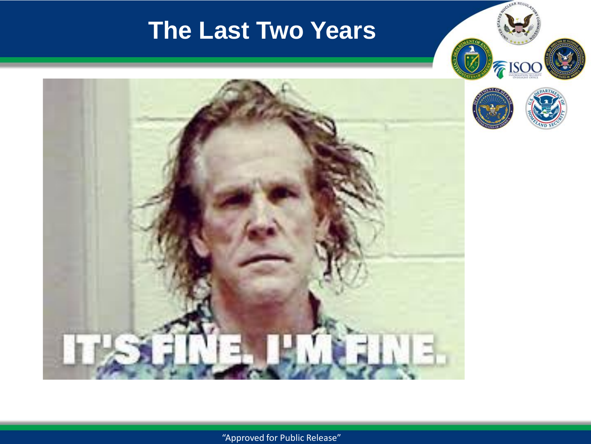# **The Last Two Years**





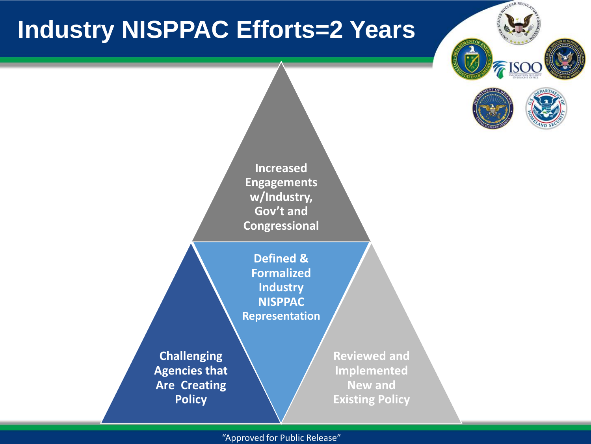# **Industry NISPPAC Efforts=2 Years**





**Increased Engagements w/Industry, Gov't and Congressional Challenging Agencies that Are Creating Policy Defined & Formalized Industry NISPPAC Representation Reviewed and Implemented New and Existing Policy**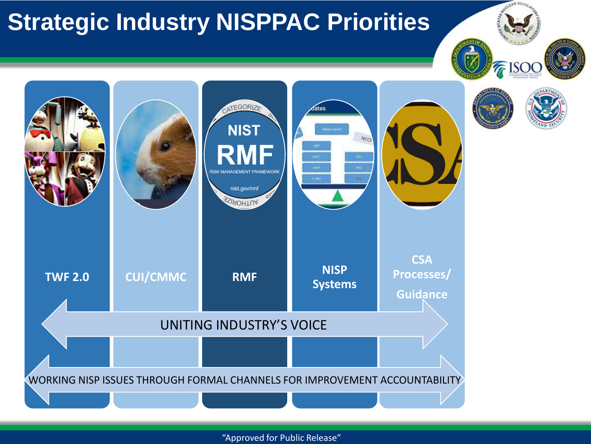# **Strategic Industry NISPPAC Priorities**

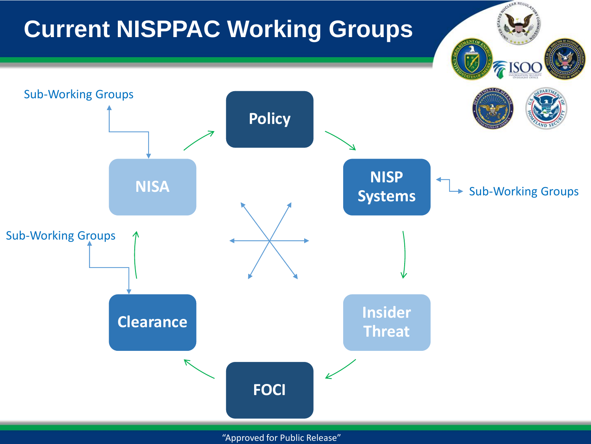# **Current NISPPAC Working Groups**

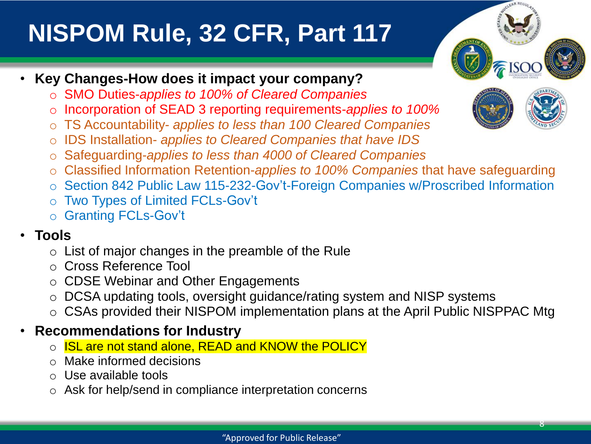# **NISPOM Rule, 32 CFR, Part 117**

- **Key Changes-How does it impact your company?**
	- o SMO Duties-*applies to 100% of Cleared Companies*
	- Incorporation of SEAD 3 reporting requirements-*applies to 100%*
	- o TS Accountability- *applies to less than 100 Cleared Companies*
	- o IDS Installation- *applies to Cleared Companies that have IDS*
	- o Safeguarding-*applies to less than 4000 of Cleared Companies*
	- Classified Information Retention-applies to 100% Companies that have safeguarding
	- o Section 842 Public Law 115-232-Gov't-Foreign Companies w/Proscribed Information
	- o Two Types of Limited FCLs-Gov't
	- o Granting FCLs-Gov't

#### • **Tools**

- o List of major changes in the preamble of the Rule
- o Cross Reference Tool
- o CDSE Webinar and Other Engagements
- o DCSA updating tools, oversight guidance/rating system and NISP systems
- o CSAs provided their NISPOM implementation plans at the April Public NISPPAC Mtg

#### • **Recommendations for Industry**

- **ISL are not stand alone, READ and KNOW the POLICY**
- Make informed decisions
- Use available tools
- Ask for help/send in compliance interpretation concerns

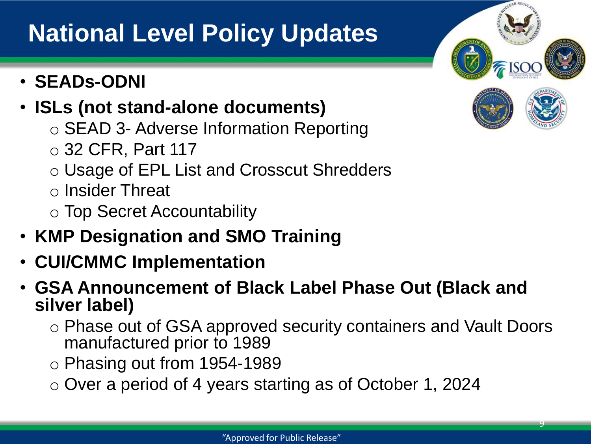# **National Level Policy Updates**

• **SEADs-ODNI**

#### • **ISLs (not stand-alone documents)**

- o SEAD 3- Adverse Information Reporting
- o 32 CFR, Part 117
- o Usage of EPL List and Crosscut Shredders
- o Insider Threat
- o Top Secret Accountability
- **KMP Designation and SMO Training**
- **CUI/CMMC Implementation**
- **GSA Announcement of Black Label Phase Out (Black and silver label)**
	- o Phase out of GSA approved security containers and Vault Doors manufactured prior to 1989
	- o Phasing out from 1954-1989
	- o Over a period of 4 years starting as of October 1, 2024



9

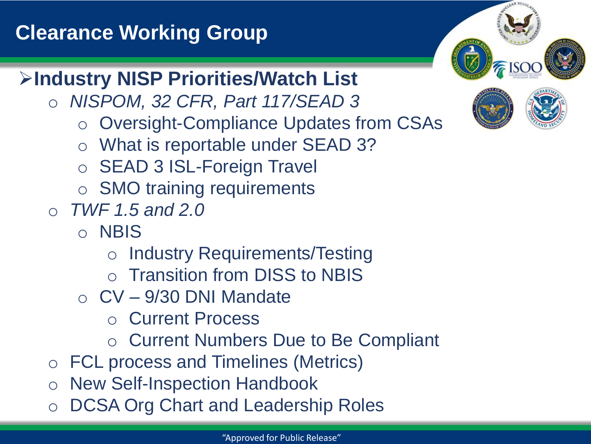## **Clearance Working Group**



## ➢**Industry NISP Priorities/Watch List**

- o *NISPOM, 32 CFR, Part 117/SEAD 3* 
	- o Oversight-Compliance Updates from CSAs
	- o What is reportable under SEAD 3?
	- o SEAD 3 ISL-Foreign Travel
	- o SMO training requirements
- o *TWF 1.5 and 2.0*
	- o NBIS
		- o Industry Requirements/Testing
		- o Transition from DISS to NBIS
	- $\circ$  CV 9/30 DNI Mandate
		- o Current Process
		- o Current Numbers Due to Be Compliant
- o FCL process and Timelines (Metrics)
- o New Self-Inspection Handbook
- DCSA Org Chart and Leadership Roles

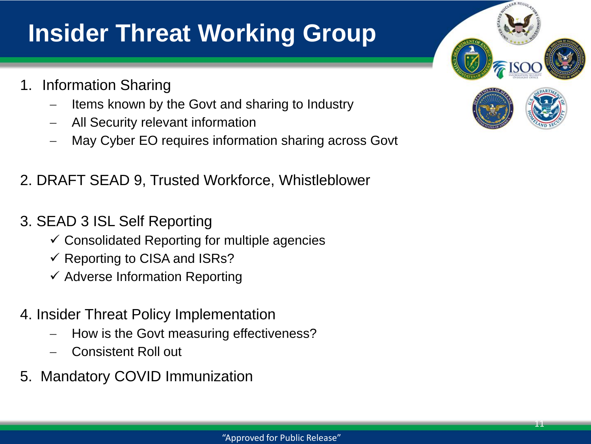# **Insider Threat Working Group**

- 1. Information Sharing
	- Items known by the Govt and sharing to Industry
	- − All Security relevant information
	- May Cyber EO requires information sharing across Govt

#### 2. DRAFT SEAD 9, Trusted Workforce, Whistleblower

- 3. SEAD 3 ISL Self Reporting
	- $\checkmark$  Consolidated Reporting for multiple agencies
	- $\checkmark$  Reporting to CISA and ISRs?
	- $\checkmark$  Adverse Information Reporting
- 4. Insider Threat Policy Implementation
	- How is the Govt measuring effectiveness?
	- − Consistent Roll out
- 5. Mandatory COVID Immunization

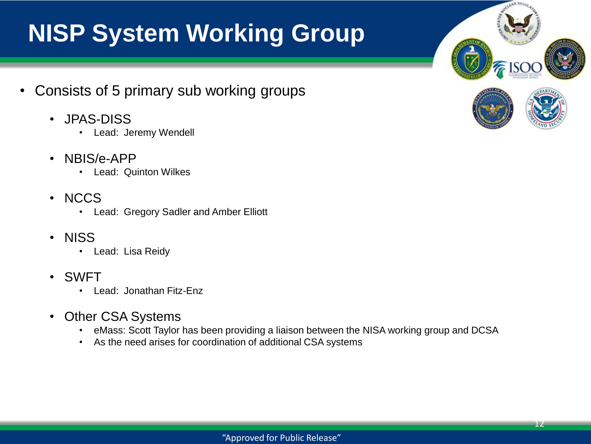# **NISP System Working Group**

- Consists of 5 primary sub working groups
	- JPAS-DISS
		- Lead: Jeremy Wendell
	- NBIS/e-APP
		- Lead: Quinton Wilkes
	- NCCS
		- Lead: Gregory Sadler and Amber Elliott
	- NISS
		- Lead: Lisa Reidy
	- SWFT
		- Lead: Jonathan Fitz-Enz
	- Other CSA Systems
		- eMass: Scott Taylor has been providing a liaison between the NISA working group and DCSA
		- As the need arises for coordination of additional CSA systems



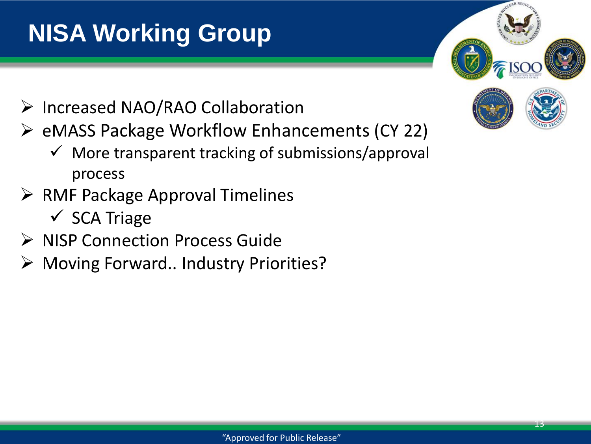# **NISA Working Group**

- ➢ Increased NAO/RAO Collaboration
- ➢ eMASS Package Workflow Enhancements (CY 22)
	- $\checkmark$  More transparent tracking of submissions/approval process
- ➢ RMF Package Approval Timelines
	- $\checkmark$  SCA Triage
- ➢ NISP Connection Process Guide
- ➢ Moving Forward.. Industry Priorities?

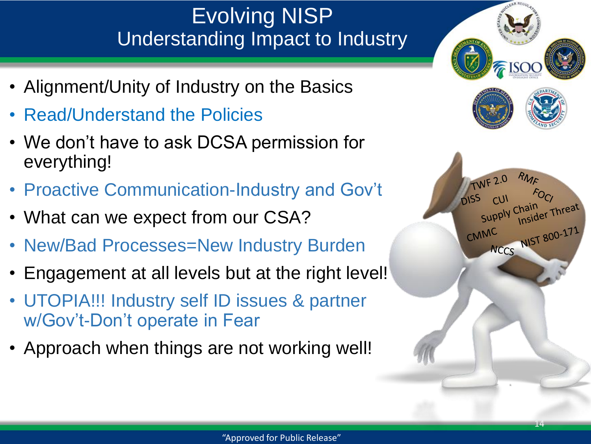## Evolving NISP Understanding Impact to Industry

- Alignment/Unity of Industry on the Basics
- Read/Understand the Policies
- We don't have to ask DCSA permission for everything!
- Proactive Communication-Industry and Gov't
- What can we expect from our CSA?
- New/Bad Processes=New Industry Burden
- Engagement at all levels but at the right level!
- UTOPIA!!! Industry self ID issues & partner w/Gov't-Don't operate in Fear
- Approach when things are not working well!

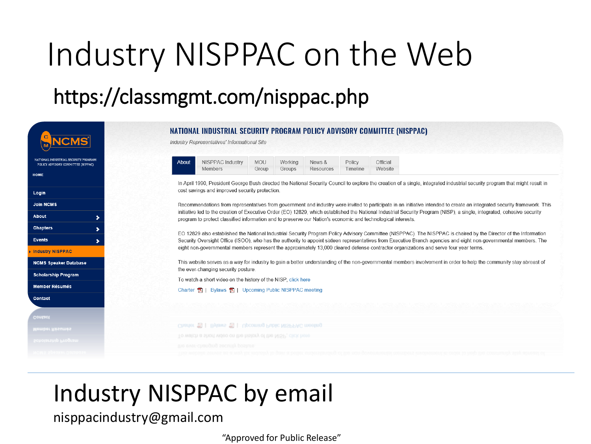# Industry NISPPAC on the Web

## https://classmgmt.com/nisppac.php

|                                                                            | NATIONAL INDUSTRIAL SECURITY PROGRAM POLICY ADVISORY COMMITTEE (NISPPAC)<br>Industry Representatives' Informational Site                                                                                                                                                                                                               |
|----------------------------------------------------------------------------|----------------------------------------------------------------------------------------------------------------------------------------------------------------------------------------------------------------------------------------------------------------------------------------------------------------------------------------|
| NATIONAL INDUSTRIAL SECURITY PROGRAM<br>POLICY ADVISORY COMMITTEE (NIPPAC) | About<br>NISPPAC Industry<br>Official<br><b>MOU</b><br>Policy<br>Working<br>News &                                                                                                                                                                                                                                                     |
| <b>HOME</b>                                                                | Members<br>Website<br>Timeline<br>Groups<br>Resources<br>Group                                                                                                                                                                                                                                                                         |
|                                                                            | In April 1990, President George Bush directed the National Security Council to explore the creation of a single, integrated industrial security program that might result in                                                                                                                                                           |
| Login                                                                      | cost savings and improved security protection.                                                                                                                                                                                                                                                                                         |
| <b>Join NCMS</b>                                                           | Recommendations from representatives from government and industry were invited to participate in an initiative intended to create an integrated security framework. This                                                                                                                                                               |
| <b>About</b><br>×                                                          | initiative led to the creation of Executive Order (EO) 12829, which established the National Industrial Security Program (NISP), a single, integrated, cohesive security<br>program to protect classified information and to preserve our Nation's economic and technological interests.                                               |
| <b>Chapters</b><br>⋟                                                       |                                                                                                                                                                                                                                                                                                                                        |
| <b>Events</b><br>,                                                         | EO 12829 also established the National Industrial Security Program Policy Advisory Committee (NISPPAC). The NISPPAC is chaired by the Director of the Information<br>Security Oversight Office (ISOO), who has the authority to appoint sixteen representatives from Executive Branch agencies and eight non-governmental members. The |
| <b>Industry NISPPAC</b>                                                    | eight non-governmental members represent the approximately 13,000 cleared defense contractor organizations and serve four year terms.                                                                                                                                                                                                  |
| <b>NCMS Speaker Database</b>                                               | This website serves as a way for industry to gain a better understanding of the non-governmental members involvement in order to help the community stay abreast of<br>the ever-changing security posture.                                                                                                                             |
| <b>Scholarship Program</b>                                                 | To watch a short video on the history of the NISP, click here                                                                                                                                                                                                                                                                          |
| <b>Member Résumés</b>                                                      | Charter 凤   Bylaws 凤   Upcoming Public NISPPAC meeting                                                                                                                                                                                                                                                                                 |
| <b>Contact</b>                                                             |                                                                                                                                                                                                                                                                                                                                        |
|                                                                            |                                                                                                                                                                                                                                                                                                                                        |
| Contact                                                                    |                                                                                                                                                                                                                                                                                                                                        |
| Member Résumés                                                             | Charter E   Bylaws E   Upcoming Public NISPPAC meeting                                                                                                                                                                                                                                                                                 |
| Scholarship Program                                                        | To watch a short video on the history of the NISP, click here                                                                                                                                                                                                                                                                          |
|                                                                            | unsod Annone funturint-iava ari                                                                                                                                                                                                                                                                                                        |

# Industry NISPPAC by email

#### nisppacindustry@gmail.com